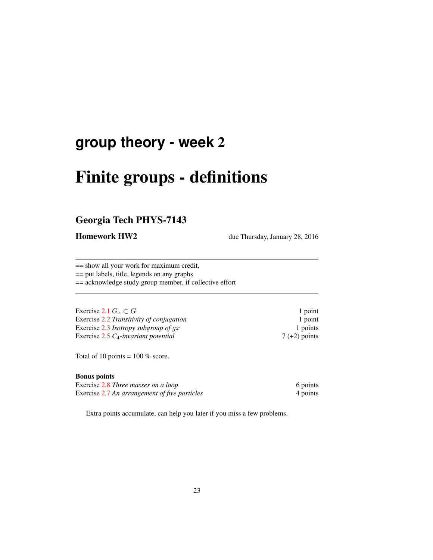## **group theory - week** 2

# Finite groups - definitions

## Georgia Tech PHYS-7143

Homework HW2 due Thursday, January 28, 2016

== show all your work for maximum credit, == put labels, title, legends on any graphs == acknowledge study group member, if collective effort

| 1 point         |
|-----------------|
| 1 point         |
| 1 points        |
| $7 (+2)$ points |
|                 |

Total of 10 points =  $100\%$  score.

### Bonus points

| Exercise 2.8 Three masses on a loop           | 6 points |
|-----------------------------------------------|----------|
| Exercise 2.7 An arrangement of five particles | 4 points |

Extra points accumulate, can help you later if you miss a few problems.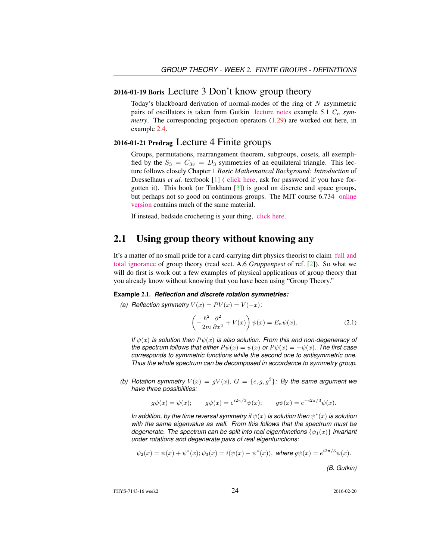## 2016-01-19 Boris Lecture 3 Don't know group theory

Today's blackboard derivation of normal-modes of the ring of  $N$  asymmetric pairs of oscillators is taken from Gutkin [lecture notes](http://birdtracks.eu/courses/PHYS-7143-16/groups.pdf) example 5.1  $C_n$  *symmetry*. The corresponding projection operators (1.29) are worked out here, in example 2.4.

## 2016-01-21 Predrag Lecture 4 Finite groups

Groups, permutations, rearrangement theorem, subgroups, cosets, all exemplified by the  $S_3 = C_{3v} = D_3$  symmetries of an equilateral triangle. This lecture follows closely Chapter 1 *Basic Mathematical Background: Introduction* of Dresselhaus *et al.* textbook [1] ( [click here,](http://chaosbook.org/library/Dresselhaus07.pdf) ask for password if you have forgotten it). This book (or Tinkham [3]) is good on discrete and space groups, but perhaps not so good on continuous groups. The MIT course 6.734 [online](http://stuff.mit.edu/afs/athena/course/6/6.734j/www/group-full02.pdf) [version](http://stuff.mit.edu/afs/athena/course/6/6.734j/www/group-full02.pdf) contains much of the same material.

If instead, bedside crocheting is your thing, [click here.](http://www.theiff.org/oexhibits/oe1e.html)

## 2.1 Using group theory without knowing any

It's a matter of no small pride for a card-carrying dirt physics theorist to claim [full and](https://www.youtube.com/embed/CvuoY_yPZeM) [total ignorance](https://www.youtube.com/embed/CvuoY_yPZeM) of group theory (read sect. A.6 *Gruppenpest* of ref. [2]). So what we will do first is work out a few examples of physical applications of group theory that you already know without knowing that you have been using "Group Theory."

#### **Example** 2.1. *Reflection and discrete rotation symmetries:*

*(a) Reflection symmetry*  $V(x) = PV(x) = V(-x)$ :

$$
\left(-\frac{\hbar^2}{2m}\frac{\partial^2}{\partial x^2} + V(x)\right)\psi(x) = E_n\psi(x).
$$
\n(2.1)

*If*  $\psi(x)$  *is solution then*  $P\psi(x)$  *is also solution. From this and non-degeneracy of the spectrum follows that either*  $P \psi(x) = \psi(x)$  *or*  $P \psi(x) = -\psi(x)$ *. The first case corresponds to symmetric functions while the second one to antisymmetric one. Thus the whole spectrum can be decomposed in accordance to symmetry group.*

(b) Rotation symmetry  $V(x) = gV(x)$ ,  $G = \{e, g, g^2\}$ : By the same argument we *have three possibilities:*

$$
g\psi(x) = \psi(x);
$$
  $g\psi(x) = e^{i2\pi/3}\psi(x);$   $g\psi(x) = e^{-i2\pi/3}\psi(x).$ 

*In addition, by the time reversal symmetry if*  $\psi(x)$  *is solution then*  $\psi^*(x)$  *is solution with the same eigenvalue as well. From this follows that the spectrum must be degenerate. The spectrum can be split into real eigenfunctions*  $\{\psi_1(x)\}\$  *invariant under rotations and degenerate pairs of real eigenfunctions:*

$$
\psi_2(x) = \psi(x) + \psi^*(x); \psi_3(x) = i(\psi(x) - \psi^*(x)), \text{ where } g\psi(x) = e^{i2\pi/3}\psi(x).
$$

*(B. Gutkin)*

PHYS-7143-16 week2 2016-02-20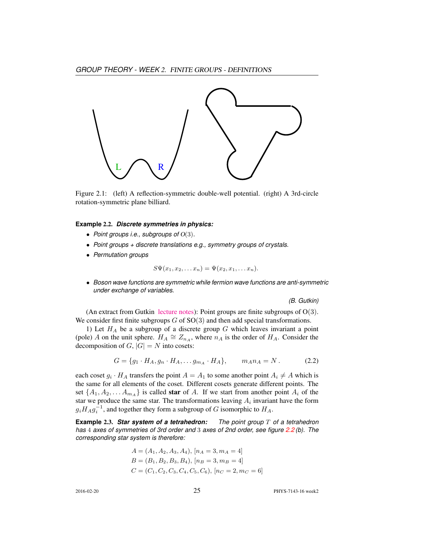

Figure 2.1: (left) A reflection-symmetric double-well potential. (right) A 3rd-circle rotation-symmetric plane billiard.

#### **Example** 2.2. *Discrete symmetries in physics:*

- *Point groups i.e., subgroups of* O(3)*.*
- *Point groups + discrete translations e.g., symmetry groups of crystals.*
- *Permutation groups*

$$
S\Psi(x_1,x_2,\ldots x_n)=\Psi(x_2,x_1,\ldots x_n).
$$

• *Boson wave functions are symmetric while fermion wave functions are anti-symmetric under exchange of variables.*

*(B. Gutkin)*

(An extract from Gutkin [lecture notes\)](http://birdtracks.eu/courses/PHYS-7143-16/groups.pdf): Point groups are finite subgroups of  $O(3)$ . We consider first finite subgroups  $G$  of  $SO(3)$  and then add special transformations.

1) Let  $H_A$  be a subgroup of a discrete group G which leaves invariant a point (pole) A on the unit sphere.  $H_A \cong Z_{n_A}$ , where  $n_A$  is the order of  $H_A$ . Consider the decomposition of  $G$ ,  $|G| = N$  into cosets:

$$
G = \{g_1 \cdot H_A, g_n \cdot H_A, \dots g_{m_A} \cdot H_A\}, \qquad m_A n_A = N. \tag{2.2}
$$

each coset  $g_i \cdot H_A$  transfers the point  $A = A_1$  to some another point  $A_i \neq A$  which is the same for all elements of the coset. Different cosets generate different points. The set  $\{A_1, A_2, \ldots A_{m_A}\}$  is called **star** of A. If we start from another point  $A_i$  of the star we produce the same star. The transformations leaving  $A_i$  invariant have the form  $g_i H_A g_i^{-1}$ , and together they form a subgroup of G isomorphic to  $H_A$ .

**Example** 2.3. *Star system of a tetrahedron: The point group* T *of a tetrahedron has* 4 *axes of symmetries of 3rd order and* 3 *axes of 2nd order, see figure 2.2 (b). The corresponding star system is therefore:*

$$
A = (A_1, A_2, A_3, A_4), [n_A = 3, m_A = 4]
$$
  
\n
$$
B = (B_1, B_2, B_3, B_4), [n_B = 3, m_B = 4]
$$
  
\n
$$
C = (C_1, C_2, C_3, C_4, C_5, C_6), [n_C = 2, m_C = 6]
$$

2016-02-20 25 PHYS-7143-16 week2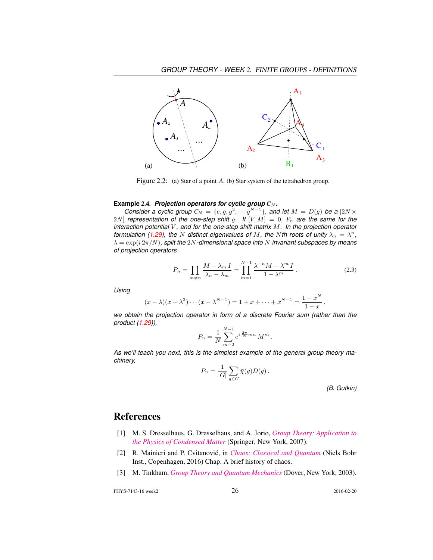

Figure 2.2: (a) Star of a point A. (b) Star system of the tetrahedron group.

#### **Example** 2.4. *Projection operators for cyclic group*  $C_N$ *.*

*Consider a cyclic group*  $C_N = \{e, g, g^2, \cdots g^{N-1}\}$ , and let  $M = D(g)$  be a  $[2N \times$ 2N] *representation of the one-step shift* g. If  $[V, M] = 0$ ,  $P_n$  are the same for the *interaction potential* V *, and for the one-step shift matrix* M*. In the projection operator formulation (1.29), the* N *distinct eigenvalues of M, the N th roots of unity*  $\lambda_n = \lambda^n$ , λ = exp(i 2π/N)*, split the* 2N*-dimensional space into* N *invariant subspaces by means of projection operators*

$$
P_n = \prod_{m \neq n} \frac{M - \lambda_m I}{\lambda_n - \lambda_m} = \prod_{m=1}^{N-1} \frac{\lambda^{-n} M - \lambda^m I}{1 - \lambda^m}.
$$
 (2.3)

*Using*

$$
(x - \lambda)(x - \lambda^2) \cdots (x - \lambda^{N-1}) = 1 + x + \cdots + x^{N-1} = \frac{1 - x^N}{1 - x}
$$

*we obtain the projection operator in form of a discrete Fourier sum (rather than the product (1.29)),*

$$
P_n = \frac{1}{N} \sum_{m=0}^{N-1} e^{i \frac{2\pi}{N} mn} M^m.
$$

*As we'll teach you next, this is the simplest example of the general group theory machinery,*

$$
P_n = \frac{1}{|G|} \sum_{g \in G} \bar{\chi}(g) D(g) .
$$

*(B. Gutkin)*

,

## References

- [1] M. S. Dresselhaus, G. Dresselhaus, and A. Jorio, *[Group Theory: Application to](http://dx.doi.org/10.1007/978-3-540-32899-5) [the Physics of Condensed Matter](http://dx.doi.org/10.1007/978-3-540-32899-5)* (Springer, New York, 2007).
- [2] R. Mainieri and P. Cvitanović, in *[Chaos: Classical and Quantum](http://ChaosBook.org/paper.shtml#appendHist)* (Niels Bohr Inst., Copenhagen, 2016) Chap. A brief history of chaos.
- [3] M. Tinkham, *[Group Theory and Quantum Mechanics](http://books.google.com/books?vid=ISBN9780486131665)* (Dover, New York, 2003).

PHYS-7143-16 week2 2016-02-20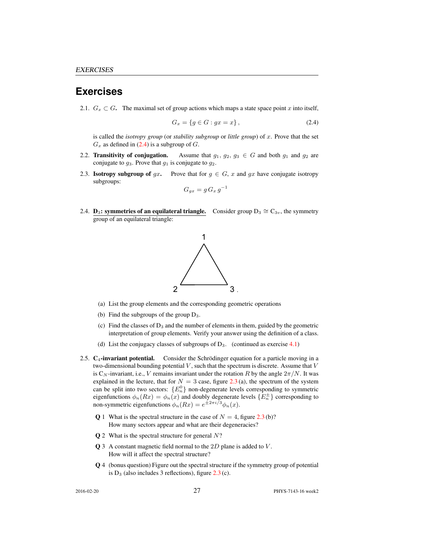## **Exercises**

2.1.  $G_x \subset G$ . The maximal set of group actions which maps a state space point x into itself,

$$
G_x = \{ g \in G : gx = x \},\tag{2.4}
$$

is called the *isotropy group* (or *stability subgroup* or *little group*) of x. Prove that the set  $G_x$  as defined in (2.4) is a subgroup of  $G$ .

- 2.2. Transitivity of conjugation. Assume that  $g_1, g_2, g_3 \in G$  and both  $g_1$  and  $g_2$  are conjugate to  $g_3$ . Prove that  $g_1$  is conjugate to  $g_2$ .
- 2.3. **Isotropy subgroup of gx.** Prove that for  $g \in G$ , x and gx have conjugate isotropy subgroups:

$$
G_{gx} = g G_x g^{-1}
$$

2.4. **D<sub>3</sub>: symmetries of an equilateral triangle.** Consider group  $D_3 \cong C_{3v}$ , the symmetry group of an equilateral triangle:



- (a) List the group elements and the corresponding geometric operations
- (b) Find the subgroups of the group  $D_3$ .
- (c) Find the classes of  $D_3$  and the number of elements in them, guided by the geometric interpretation of group elements. Verify your answer using the definition of a class.
- (d) List the conjugacy classes of subgroups of  $D_3$ . (continued as exercise 4.1)
- 2.5.  $C_4$ -invariant potential. Consider the Schrödinger equation for a particle moving in a two-dimensional bounding potential  $V$ , such that the spectrum is discrete. Assume that  $V$ is C<sub>N</sub>-invariant, i.e., V remains invariant under the rotation R by the angle  $2\pi/N$ . It was explained in the lecture, that for  $N = 3$  case, figure 2.3 (a), the spectrum of the system can be split into two sectors:  ${E_n^0}$  non-degenerate levels corresponding to symmetric eigenfunctions  $\phi_n(Rx) = \phi_n(x)$  and doubly degenerate levels  $\{E_n^{\pm}\}\$  corresponding to non-symmetric eigenfunctions  $\phi_n(Rx) = e^{\pm 2\pi i/3} \phi_n(x)$ .
	- **Q** 1 What is the spectral structure in the case of  $N = 4$ , figure 2.3 (b)? How many sectors appear and what are their degeneracies?
	- $Q$  2 What is the spectral structure for general  $N$ ?
	- Q 3 A constant magnetic field normal to the 2D plane is added to V. How will it affect the spectral structure?
	- Q 4 (bonus question) Figure out the spectral structure if the symmetry group of potential is  $D_3$  (also includes 3 reflections), figure  $2.3$  (c).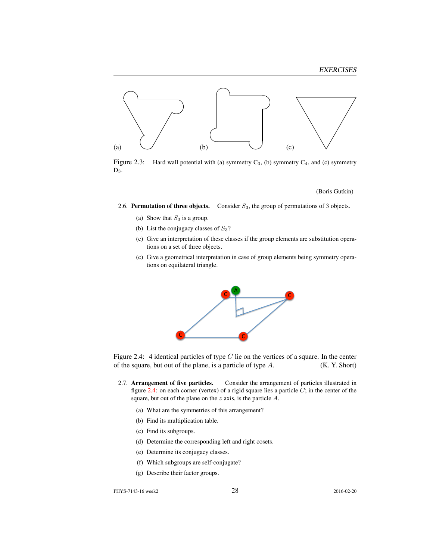

Figure 2.3: Hard wall potential with (a) symmetry  $C_3$ , (b) symmetry  $C_4$ , and (c) symmetry  $D_3$ .

(Boris Gutkin)

- 2.6. Permutation of three objects. Consider  $S_3$ , the group of permutations of 3 objects.
	- (a) Show that  $S_3$  is a group.
	- (b) List the conjugacy classes of  $S_3$ ?
	- (c) Give an interpretation of these classes if the group elements are substitution operations on a set of three objects.
	- (c) Give a geometrical interpretation in case of group elements being symmetry operations on equilateral triangle.



Figure 2.4: 4 identical particles of type  $C$  lie on the vertices of a square. In the center of the square, but out of the plane, is a particle of type  $A$ . (K. Y. Short)

- 2.7. **Arrangement of five particles.** Consider the arrangement of particles illustrated in figure 2.4: on each corner (vertex) of a rigid square lies a particle  $C$ ; in the center of the square, but out of the plane on the  $z$  axis, is the particle  $A$ .
	- (a) What are the symmetries of this arrangement?
	- (b) Find its multiplication table.
	- (c) Find its subgroups.
	- (d) Determine the corresponding left and right cosets.
	- (e) Determine its conjugacy classes.
	- (f) Which subgroups are self-conjugate?
	- (g) Describe their factor groups.